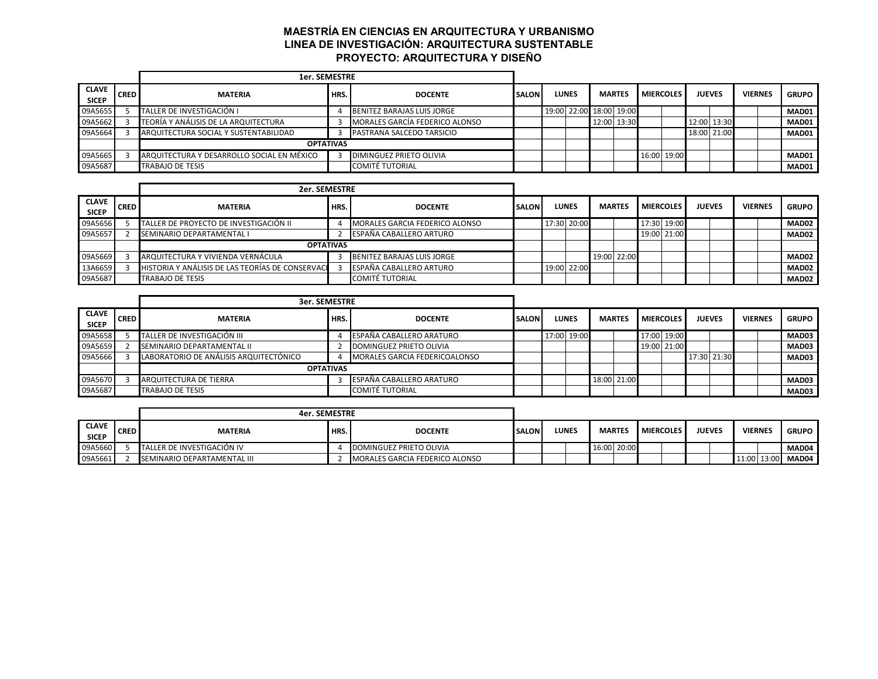## **MAESTRÍA EN CIENCIAS EN ARQUITECTURA Y URBANISMO LINEA DE INVESTIGACIÓN: ARQUITECTURA SUSTENTABLE PROYECTO: ARQUITECTURA Y DISEÑO**

|                              |             | <b>1er. SEMESTRE</b>                       |                  |                                  |              |  |                         |               |                  |             |               |             |                |              |
|------------------------------|-------------|--------------------------------------------|------------------|----------------------------------|--------------|--|-------------------------|---------------|------------------|-------------|---------------|-------------|----------------|--------------|
| <b>CLAVE</b><br><b>SICEP</b> | <b>CRED</b> | <b>MATERIA</b>                             | HRS.             | <b>DOCENTE</b>                   | <b>SALON</b> |  | <b>LUNES</b>            | <b>MARTES</b> | <b>MIERCOLES</b> |             | <b>JUEVES</b> |             | <b>VIERNES</b> | <b>GRUPO</b> |
| 09A5655                      |             | TALLER DE INVESTIGACIÓN I                  |                  | BENITEZ BARAJAS LUIS JORGE       |              |  | 19:00 22:00 18:00 19:00 |               |                  |             |               |             |                | MAD01        |
| 09A5662                      |             | TEORÍA Y ANÁLISIS DE LA ARQUITECTURA       |                  | MORALES GARCÍA FEDERICO ALONSO   |              |  |                         | 12:00 13:30   |                  |             |               | 12:00 13:30 |                | MAD01        |
| 09A5664                      |             | ARQUITECTURA SOCIAL Y SUSTENTABILIDAD      |                  | <b>PASTRANA SALCEDO TARSICIO</b> |              |  |                         |               |                  |             | 18:00 21:00   |             |                | MAD01        |
|                              |             |                                            | <b>OPTATIVAS</b> |                                  |              |  |                         |               |                  |             |               |             |                |              |
| 09A5665                      |             | ARQUITECTURA Y DESARROLLO SOCIAL EN MÉXICO |                  | DIMINGUEZ PRIETO OLIVIA          |              |  |                         |               |                  | 16:00 19:00 |               |             |                | MAD01        |
| 09A5687                      |             | TRABAJO DE TESIS                           |                  | <b>COMITÉ TUTORIAL</b>           |              |  |                         |               |                  |             |               |             |                | MAD01        |

|                              |             | <b>2er. SEMESTRE</b>                             |      |                                |              |              |               |                  |               |                |              |
|------------------------------|-------------|--------------------------------------------------|------|--------------------------------|--------------|--------------|---------------|------------------|---------------|----------------|--------------|
| <b>CLAVE</b><br><b>SICEP</b> | <b>CRED</b> | <b>MATERIA</b>                                   | HRS. | <b>DOCENTE</b>                 | <b>SALON</b> | <b>LUNES</b> | <b>MARTES</b> | <b>MIERCOLES</b> | <b>JUEVES</b> | <b>VIERNES</b> | <b>GRUPO</b> |
| 09A5656                      |             | TALLER DE PROYECTO DE INVESTIGACIÓN II           |      | MORALES GARCIA FEDERICO ALONSO |              | 17:30 20:00  |               | 17:30 19:00      |               |                | MAD02        |
| 09A5657                      |             | SEMINARIO DEPARTAMENTAL I                        |      | ESPAÑA CABALLERO ARTURO        |              |              |               | 19:00 21:00      |               |                | MAD02        |
|                              |             | <b>OPTATIVAS</b>                                 |      |                                |              |              |               |                  |               |                |              |
| 09A5669                      |             | ARQUITECTURA Y VIVIENDA VERNÁCULA                |      | BENITEZ BARAJAS LUIS JORGE     |              |              | 19:00 22:00   |                  |               |                | MAD02        |
| 13A6659                      |             | HISTORIA Y ANÁLISIS DE LAS TEORÍAS DE CONSERVACI |      | ESPAÑA CABALLERO ARTURO        |              | 19:00 22:00  |               |                  |               |                | MAD02        |
| 09A5687                      |             | <b>TRABAJO DE TESIS</b>                          |      | <b>COMITÉ TUTORIAL</b>         |              |              |               |                  |               |                | MAD02        |

|                              |             | <b>3er. SEMESTRE</b>                   |                  |                               |               |              |               |                  |  |               |                |              |
|------------------------------|-------------|----------------------------------------|------------------|-------------------------------|---------------|--------------|---------------|------------------|--|---------------|----------------|--------------|
| <b>CLAVE</b><br><b>SICEP</b> | <b>CRED</b> | <b>MATERIA</b>                         | HRS.             | <b>DOCENTE</b>                | <b>SALONI</b> | <b>LUNES</b> | <b>MARTES</b> | <b>MIERCOLES</b> |  | <b>JUEVES</b> | <b>VIERNES</b> | <b>GRUPO</b> |
| 09A5658                      |             | TALLER DE INVESTIGACIÓN III            |                  | ESPAÑA CABALLERO ARATURO      |               | 17:00 19:00  |               | 17:00 19:00      |  |               |                | MAD03        |
| 09A5659                      |             | SEMINARIO DEPARTAMENTAL II             |                  | DOMINGUEZ PRIETO OLIVIA       |               |              |               | 19:00 21:00      |  |               |                | MAD03        |
| 09A5666                      |             | LABORATORIO DE ANÁLISIS ARQUITECTÓNICO |                  | MORALES GARCIA FEDERICOALONSO |               |              |               |                  |  | 17:30 21:30   |                | MAD03        |
|                              |             |                                        | <b>OPTATIVAS</b> |                               |               |              |               |                  |  |               |                |              |
| 09A5670                      |             | ARQUITECTURA DE TIERRA                 |                  | ESPAÑA CABALLERO ARATURO      |               |              | 18:00 21:00   |                  |  |               |                | MAD03        |
| 09A5687                      |             | <b>TRABAJO DE TESIS</b>                |                  | <b>COMITÉ TUTORIAL</b>        |               |              |               |                  |  |               |                | MAD03        |

|                              |             | 4er. SEMESTRE                      |      |                                |              |              |               |             |                  |               |                |                   |
|------------------------------|-------------|------------------------------------|------|--------------------------------|--------------|--------------|---------------|-------------|------------------|---------------|----------------|-------------------|
| <b>CLAVE</b><br><b>SICEP</b> | <b>CRED</b> | <b>MATERIA</b>                     | HRS. | <b>DOCENTE</b>                 | <b>SALON</b> | <b>LUNES</b> | <b>MARTES</b> |             | <b>MIERCOLES</b> | <b>JUEVES</b> | <b>VIERNES</b> | <b>GRUPO</b>      |
| 09A5660                      |             | TALLER DE INVESTIGACIÓN IV         |      | DOMINGUEZ PRIETO OLIVIA        |              |              |               | 16:00 20:00 |                  |               |                | MAD04             |
| 09A5661                      |             | <b>SEMINARIO DEPARTAMENTAL III</b> |      | MORALES GARCIA FEDERICO ALONSO |              |              |               |             |                  |               |                | 11:00 13:00 MAD04 |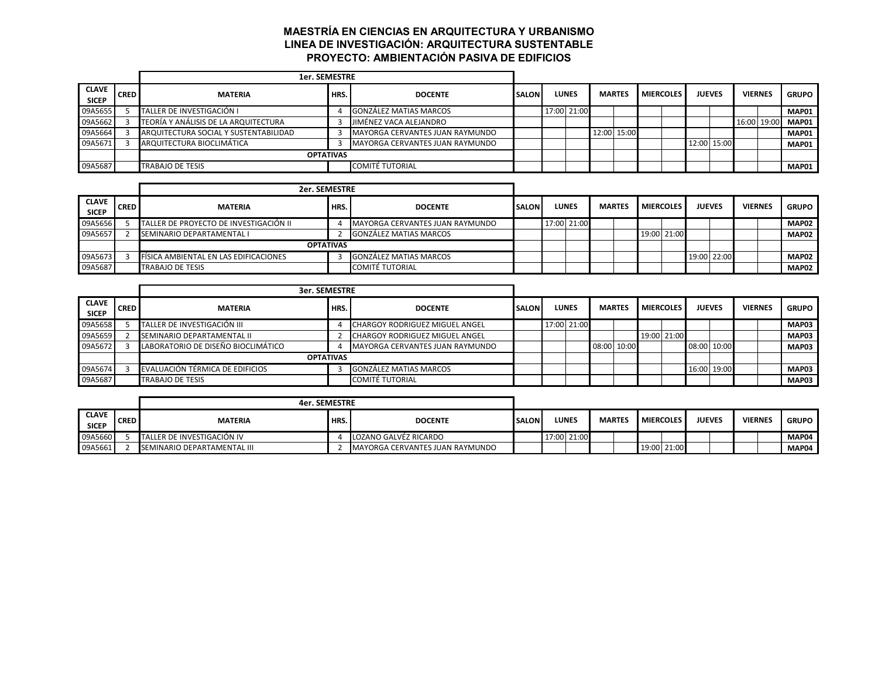## **MAESTRÍA EN CIENCIAS EN ARQUITECTURA Y URBANISMO LINEA DE INVESTIGACIÓN: ARQUITECTURA SUSTENTABLE PROYECTO: AMBIENTACIÓN PASIVA DE EDIFICIOS**

|                              |             | <b>1er. SEMESTRE</b>                  |      |                                 |              |              |               |                  |             |               |                |              |
|------------------------------|-------------|---------------------------------------|------|---------------------------------|--------------|--------------|---------------|------------------|-------------|---------------|----------------|--------------|
| <b>CLAVE</b><br><b>SICEP</b> | <b>CRED</b> | <b>MATERIA</b>                        | HRS. | <b>DOCENTE</b>                  | <b>SALON</b> | <b>LUNES</b> | <b>MARTES</b> | <b>MIERCOLES</b> |             | <b>JUEVES</b> | <b>VIERNES</b> | <b>GRUPO</b> |
| 09A5655                      |             | TALLER DE INVESTIGACIÓN I             |      | <b>GONZÁLEZ MATIAS MARCOS</b>   |              | 17:00 21:00  |               |                  |             |               |                | MAP01        |
| 09A5662                      |             | TEORÍA Y ANÁLISIS DE LA ARQUITECTURA  |      | JIMÉNEZ VACA ALEJANDRO          |              |              |               |                  |             |               | 16:00 19:00    | MAP01        |
| 09A5664                      |             | ARQUITECTURA SOCIAL Y SUSTENTABILIDAD |      | MAYORGA CERVANTES JUAN RAYMUNDO |              |              | 12:00 15:00   |                  |             |               |                | MAP01        |
| 09A5671                      |             | ARQUITECTURA BIOCLIMÁTICA             |      | MAYORGA CERVANTES JUAN RAYMUNDO |              |              |               |                  | 12:00 15:00 |               |                | MAP01        |
|                              |             | <b>OPTATIVAS</b>                      |      |                                 |              |              |               |                  |             |               |                |              |
| 09A5687                      |             | TRABAJO DE TESIS                      |      | <b>COMITÉ TUTORIAL</b>          |              |              |               |                  |             |               |                | MAP01        |

|                              |             | 2er. SEMESTRE                                |                  |                                 |              |              |               |                  |             |               |                |                   |
|------------------------------|-------------|----------------------------------------------|------------------|---------------------------------|--------------|--------------|---------------|------------------|-------------|---------------|----------------|-------------------|
| <b>CLAVE</b><br><b>SICEP</b> | <b>CRED</b> | <b>MATERIA</b>                               | HRS.             | <b>DOCENTE</b>                  | <b>SALON</b> | <b>LUNES</b> | <b>MARTES</b> | <b>MIERCOLES</b> |             | <b>JUEVES</b> | <b>VIERNES</b> | <b>GRUPO</b>      |
| 09A5656                      |             | TALLER DE PROYECTO DE INVESTIGACIÓN II       |                  | MAYORGA CERVANTES JUAN RAYMUNDO |              | 17:00 21:00  |               |                  |             |               |                | MAP <sub>02</sub> |
| 09A5657                      |             | <b>SEMINARIO DEPARTAMENTAL I</b>             |                  | <b>GONZÁLEZ MATIAS MARCOS</b>   |              |              |               |                  | 19:00 21:00 |               |                | MAP <sub>02</sub> |
|                              |             |                                              | <b>OPTATIVAS</b> |                                 |              |              |               |                  |             |               |                |                   |
| 09A5673                      |             | <b>FISICA AMBIENTAL EN LAS EDIFICACIONES</b> |                  | GONZÁLEZ MATIAS MARCOS          |              |              |               |                  |             | 19:00 22:00   |                | <b>MAP02</b>      |
| 09A5687                      |             | <b>TRABAJO DE TESIS</b>                      |                  | COMITÉ TUTORIAL                 |              |              |               |                  |             |               |                | MAP <sub>02</sub> |

|                              |             | <b>3er. SEMESTRE</b>               |                  |                                 |              |              |               |             |                  |               |             |                |              |
|------------------------------|-------------|------------------------------------|------------------|---------------------------------|--------------|--------------|---------------|-------------|------------------|---------------|-------------|----------------|--------------|
| <b>CLAVE</b><br><b>SICEP</b> | <b>CRED</b> | <b>MATERIA</b>                     | HRS.             | <b>DOCENTE</b>                  | <b>SALON</b> | <b>LUNES</b> | <b>MARTES</b> |             | <b>MIERCOLES</b> | <b>JUEVES</b> |             | <b>VIERNES</b> | <b>GRUPO</b> |
| 09A5658                      |             | TALLER DE INVESTIGACIÓN III        |                  | CHARGOY RODRIGUEZ MIGUEL ANGEL  |              | 17:00 21:00  |               |             |                  |               |             |                | MAP03        |
| 09A5659                      |             | SEMINARIO DEPARTAMENTAL II         |                  | CHARGOY RODRIGUEZ MIGUEL ANGEL  |              |              |               |             | 19:00 21:00      |               |             |                | MAP03        |
| 09A5672                      |             | LABORATORIO DE DISEÑO BIOCLIMÁTICO |                  | MAYORGA CERVANTES JUAN RAYMUNDO |              |              |               | 08:00 10:00 |                  | 08:00 10:00   |             |                | MAP03        |
|                              |             |                                    | <b>OPTATIVAS</b> |                                 |              |              |               |             |                  |               |             |                |              |
| 09A5674                      |             | EVALUACIÓN TÉRMICA DE EDIFICIOS    |                  | <b>GONZÁLEZ MATIAS MARCOS</b>   |              |              |               |             |                  |               | 16:00 19:00 |                | MAP03        |
| 09A5687                      |             | <b>TRABAJO DE TESIS</b>            |                  | <b>COMITÉ TUTORIAL</b>          |              |              |               |             |                  |               |             |                | MAP03        |

|                              |             | <b>4er. SEMESTRE</b>        |      |                                 |               |              |               |                  |               |                |              |
|------------------------------|-------------|-----------------------------|------|---------------------------------|---------------|--------------|---------------|------------------|---------------|----------------|--------------|
| <b>CLAVE</b><br><b>SICEP</b> | <b>CRED</b> | <b>MATERIA</b>              | HRS. | <b>DOCENTE</b>                  | <b>ISALON</b> | <b>LUNES</b> | <b>MARTES</b> | <b>MIERCOLES</b> | <b>JUEVES</b> | <b>VIERNES</b> | <b>GRUPO</b> |
| 09A5660                      |             | TALLER DE INVESTIGACIÓN IV  |      | LOZANO GALVÉZ RICARDO           |               | 17:00 21:00  |               |                  |               |                | MAP04        |
| 09A5661                      |             | SEMINARIO DEPARTAMENTAL III |      | MAYORGA CERVANTES JUAN RAYMUNDO |               |              |               | 19:00 21:00      |               |                | MAP04        |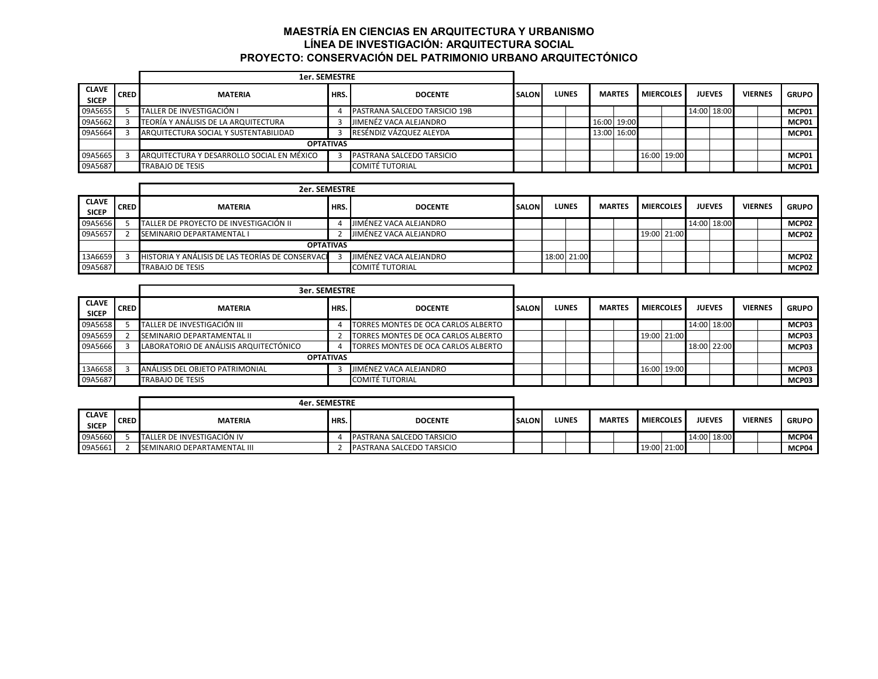# **MAESTRÍA EN CIENCIAS EN ARQUITECTURA Y URBANISMO LÍNEA DE INVESTIGACIÓN: ARQUITECTURA SOCIAL PROYECTO: CONSERVACIÓN DEL PATRIMONIO URBANO ARQUITECTÓNICO**

|                              |             | <b>1er. SEMESTRE</b>                       |                  |                                      |              |              |             |               |                  |             |               |                |              |
|------------------------------|-------------|--------------------------------------------|------------------|--------------------------------------|--------------|--------------|-------------|---------------|------------------|-------------|---------------|----------------|--------------|
| <b>CLAVE</b><br><b>SICEP</b> | <b>CRED</b> | <b>MATERIA</b>                             | HRS.             | <b>DOCENTE</b>                       | <b>SALON</b> | <b>LUNES</b> |             | <b>MARTES</b> | <b>MIERCOLES</b> |             | <b>JUEVES</b> | <b>VIERNES</b> | <b>GRUPO</b> |
| 09A5655                      |             | TALLER DE INVESTIGACIÓN I                  |                  | <b>PASTRANA SALCEDO TARSICIO 19B</b> |              |              |             |               |                  |             | 14:00 18:00   |                | MCP01        |
| 09A5662                      |             | TEORÍA Y ANÁLISIS DE LA ARQUITECTURA       |                  | JIMENÉZ VACA ALEJANDRO               |              |              | 16:00 19:00 |               |                  |             |               |                | MCP01        |
| 09A5664                      |             | ARQUITECTURA SOCIAL Y SUSTENTABILIDAD      |                  | RESÉNDIZ VÁZQUEZ ALEYDA              |              |              | 13:00 16:00 |               |                  |             |               |                | MCP01        |
|                              |             |                                            | <b>OPTATIVAS</b> |                                      |              |              |             |               |                  |             |               |                |              |
| 09A5665                      |             | ARQUITECTURA Y DESARROLLO SOCIAL EN MÉXICO |                  | PASTRANA SALCEDO TARSICIO            |              |              |             |               |                  | 16:00 19:00 |               |                | MCP01        |
| 09A5687                      |             | TRABAJO DE TESIS                           |                  | <b>COMITÉ TUTORIAL</b>               |              |              |             |               |                  |             |               |                | MCP01        |

|                              |             | 2er. SEMESTRE                                    |      |                        |              |              |               |                  |               |                |              |
|------------------------------|-------------|--------------------------------------------------|------|------------------------|--------------|--------------|---------------|------------------|---------------|----------------|--------------|
| <b>CLAVE</b><br><b>SICEP</b> | <b>CRED</b> | <b>MATERIA</b>                                   | HRS. | <b>DOCENTE</b>         | <b>SALON</b> | <b>LUNES</b> | <b>MARTES</b> | <b>MIERCOLES</b> | <b>JUEVES</b> | <b>VIERNES</b> | <b>GRUPO</b> |
| 09A5656                      |             | TALLER DE PROYECTO DE INVESTIGACIÓN II           |      | JIMÉNEZ VACA ALEJANDRO |              |              |               |                  | 14:00 18:00   |                | MCP02        |
| 09A5657                      |             | SEMINARIO DEPARTAMENTAL I                        |      | JIMÉNEZ VACA ALEJANDRO |              |              |               | 19:00 21:00      |               |                | MCP02        |
|                              |             | <b>OPTATIVAS</b>                                 |      |                        |              |              |               |                  |               |                |              |
| 13A6659                      |             | HISTORIA Y ANÁLISIS DE LAS TEORÍAS DE CONSERVACI |      | JIMÉNEZ VACA ALEJANDRO |              | 18:00 21:00  |               |                  |               |                | MCP02        |
| 09A5687                      |             | <b>TRABAJO DE TESIS</b>                          |      | <b>COMITÉ TUTORIAL</b> |              |              |               |                  |               |                | MCP02        |

|                              |             | <b>3er. SEMESTRE</b>                   |                  |                                     |              |              |               |                  |               |                |              |
|------------------------------|-------------|----------------------------------------|------------------|-------------------------------------|--------------|--------------|---------------|------------------|---------------|----------------|--------------|
| <b>CLAVE</b><br><b>SICEP</b> | <b>CRED</b> | <b>MATERIA</b>                         | HRS.             | <b>DOCENTE</b>                      | <b>SALON</b> | <b>LUNES</b> | <b>MARTES</b> | <b>MIERCOLES</b> | <b>JUEVES</b> | <b>VIERNES</b> | <b>GRUPO</b> |
| 09A5658                      |             | TALLER DE INVESTIGACIÓN III            |                  | TORRES MONTES DE OCA CARLOS ALBERTO |              |              |               |                  | 14:00 18:00   |                | MCP03        |
| 09A5659                      |             | SEMINARIO DEPARTAMENTAL II             |                  | TORRES MONTES DE OCA CARLOS ALBERTO |              |              |               | 19:00 21:00      |               |                | MCP03        |
| 09A5666                      |             | LABORATORIO DE ANÁLISIS ARQUITECTÓNICO |                  | TORRES MONTES DE OCA CARLOS ALBERTO |              |              |               |                  | 18:00 22:00   |                | MCP03        |
|                              |             |                                        | <b>OPTATIVAS</b> |                                     |              |              |               |                  |               |                |              |
| 13A6658                      |             | ANÁLISIS DEL OBJETO PATRIMONIAL        |                  | JIMÉNEZ VACA ALEJANDRO              |              |              |               | 16:00 19:00      |               |                | MCP03        |
| 09A5687                      |             | <b>TRABAJO DE TESIS</b>                |                  | <b>COMITÉ TUTORIAL</b>              |              |              |               |                  |               |                | MCP03        |

|                              |             | 4er. SEMESTRE               |      |                                  |               |              |               |                  |             |               |                |              |
|------------------------------|-------------|-----------------------------|------|----------------------------------|---------------|--------------|---------------|------------------|-------------|---------------|----------------|--------------|
| <b>CLAVE</b><br><b>SICEP</b> | <b>CRED</b> | <b>MATERIA</b>              | HRS. | <b>DOCENTE</b>                   | <b>ISALON</b> | <b>LUNES</b> | <b>MARTES</b> | <b>MIERCOLES</b> |             | <b>JUEVES</b> | <b>VIERNES</b> | <b>GRUPO</b> |
| 09A5660                      |             | TALLER DE INVESTIGACIÓN IV  |      | <b>PASTRANA SALCEDO TARSICIO</b> |               |              |               |                  |             | 14:00 18:00   |                | MCP04        |
| 09A5661                      |             | SEMINARIO DEPARTAMENTAL III |      | <b>PASTRANA SALCEDO TARSICIO</b> |               |              |               |                  | 19:00 21:00 |               |                | MCP04        |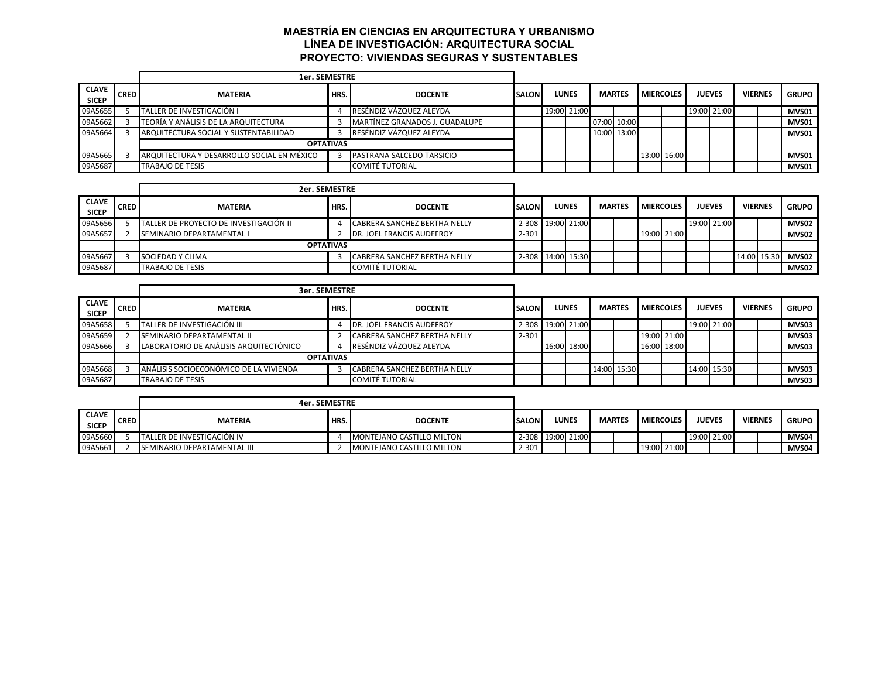# **MAESTRÍA EN CIENCIAS EN ARQUITECTURA Y URBANISMO LÍNEA DE INVESTIGACIÓN: ARQUITECTURA SOCIAL PROYECTO: VIVIENDAS SEGURAS Y SUSTENTABLES**

|                              |             | <b>1er. SEMESTRE</b>                       |                  |                                |              |              |               |                  |               |                |              |
|------------------------------|-------------|--------------------------------------------|------------------|--------------------------------|--------------|--------------|---------------|------------------|---------------|----------------|--------------|
| <b>CLAVE</b><br><b>SICEP</b> | <b>CRED</b> | <b>MATERIA</b>                             | HRS.             | <b>DOCENTE</b>                 | <b>SALON</b> | <b>LUNES</b> | <b>MARTES</b> | <b>MIERCOLES</b> | <b>JUEVES</b> | <b>VIERNES</b> | <b>GRUPO</b> |
| 09A5655                      |             | TALLER DE INVESTIGACIÓN I                  |                  | RESÉNDIZ VÁZQUEZ ALEYDA        |              | 19:00 21:00  |               |                  | 19:00 21:00   |                | MVS01        |
| 09A5662                      |             | TEORÍA Y ANÁLISIS DE LA ARQUITECTURA       |                  | MARTÍNEZ GRANADOS J. GUADALUPE |              |              | 07:00 10:00   |                  |               |                | MVS01        |
| 09A5664                      |             | ARQUITECTURA SOCIAL Y SUSTENTABILIDAD      |                  | RESÉNDIZ VÁZQUEZ ALEYDA        |              |              | 10:00 13:00   |                  |               |                | MVS01        |
|                              |             |                                            | <b>OPTATIVAS</b> |                                |              |              |               |                  |               |                |              |
| 09A5665                      |             | ARQUITECTURA Y DESARROLLO SOCIAL EN MÉXICO |                  | PASTRANA SALCEDO TARSICIO      |              |              |               | 13:00 16:00      |               |                | MVS01        |
| 09A5687                      |             | TRABAJO DE TESIS                           |                  | <b>COMITÉ TUTORIAL</b>         |              |              |               |                  |               |                | MVS01        |

|                              |             | 2er. SEMESTRE                          |                  |                                     |              |                   |               |                  |               |                |             |              |
|------------------------------|-------------|----------------------------------------|------------------|-------------------------------------|--------------|-------------------|---------------|------------------|---------------|----------------|-------------|--------------|
| <b>CLAVE</b><br><b>SICEP</b> | <b>CRED</b> | <b>MATERIA</b>                         | HRS.             | <b>DOCENTE</b>                      | <b>SALON</b> | <b>LUNES</b>      | <b>MARTES</b> | <b>MIERCOLES</b> | <b>JUEVES</b> | <b>VIERNES</b> |             | <b>GRUPO</b> |
| 09A5656                      |             | TALLER DE PROYECTO DE INVESTIGACIÓN II |                  | CABRERA SANCHEZ BERTHA NELLY        |              | 2-308 19:00 21:00 |               |                  | 19:00 21:00   |                |             | MVS02        |
| 09A5657                      |             | SEMINARIO DEPARTAMENTAL I              |                  | JOEL FRANCIS AUDEFROY<br><b>IDR</b> | $2 - 301$    |                   |               | 19:00 21:00      |               |                |             | MVS02        |
|                              |             |                                        | <b>OPTATIVAS</b> |                                     |              |                   |               |                  |               |                |             |              |
| 09A5667                      |             | SOCIEDAD Y CLIMA                       |                  | <b>CABRERA SANCHEZ BERTHA NELLY</b> |              | 2-308 14:00 15:30 |               |                  |               |                | 14:00 15:30 | MVS02        |
| 09A5687                      |             | <b>TRABAJO DE TESIS</b>                |                  | <b>COMITÉ TUTORIAL</b>              |              |                   |               |                  |               |                |             | MVS02        |

|                              |             | <b>3er. SEMESTRE</b>                   |                  |                              |                   |              |               |                  |               |             |                |              |
|------------------------------|-------------|----------------------------------------|------------------|------------------------------|-------------------|--------------|---------------|------------------|---------------|-------------|----------------|--------------|
| <b>CLAVE</b><br><b>SICEP</b> | <b>CRED</b> | <b>MATERIA</b>                         | HRS.             | <b>DOCENTE</b>               | <b>SALON</b>      | <b>LUNES</b> | <b>MARTES</b> | <b>MIERCOLES</b> | <b>JUEVES</b> |             | <b>VIERNES</b> | <b>GRUPO</b> |
| 09A5658                      |             | TALLER DE INVESTIGACIÓN III            |                  | DR. JOEL FRANCIS AUDEFROY    | 2-308 19:00 21:00 |              |               |                  |               | 19:00 21:00 |                | MVS03        |
| 09A5659                      |             | <b>SEMINARIO DEPARTAMENTAL II</b>      |                  | CABRERA SANCHEZ BERTHA NELLY | $2 - 301$         |              |               | 19:00 21:00      |               |             |                | MVS03        |
| 09A5666                      |             | LABORATORIO DE ANÁLISIS ARQUITECTÓNICO |                  | RESÉNDIZ VÁZQUEZ ALEYDA      |                   | 16:00 18:00  |               | 16:00 18:00      |               |             |                | MVS03        |
|                              |             |                                        | <b>OPTATIVAS</b> |                              |                   |              |               |                  |               |             |                |              |
| 09A5668                      |             | ANÁLISIS SOCIOECONÓMICO DE LA VIVIENDA |                  | CABRERA SANCHEZ BERTHA NELLY |                   |              | 14:00 15:30   |                  |               | 14:00 15:30 |                | MVS03        |
| 09A5687                      |             | <b>TRABAJO DE TESIS</b>                |                  | <b>COMITÉ TUTORIAL</b>       |                   |              |               |                  |               |             |                | MVS03        |

|                              |             | 4er. SEMESTRE               |      |                                  |               |                   |               |                  |               |                |              |
|------------------------------|-------------|-----------------------------|------|----------------------------------|---------------|-------------------|---------------|------------------|---------------|----------------|--------------|
| <b>CLAVE</b><br><b>SICEP</b> | <b>CRED</b> | <b>MATERIA</b>              | HRS. | <b>DOCENTE</b>                   | <b>ISALON</b> | <b>LUNES</b>      | <b>MARTES</b> | <b>MIERCOLES</b> | <b>JUEVES</b> | <b>VIERNES</b> | <b>GRUPO</b> |
| 09A5660                      |             | TALLER DE INVESTIGACIÓN IV  |      | MONTEJANO CASTILLO MILTON        |               | 2-308 19:00 21:00 |               |                  | 19:00 21:00   |                | MVS04        |
| 09A5661                      |             | SEMINARIO DEPARTAMENTAL III |      | <b>MONTEJANO CASTILLO MILTON</b> | $2 - 301$     |                   |               | 19:00 21:00      |               |                | MVS04        |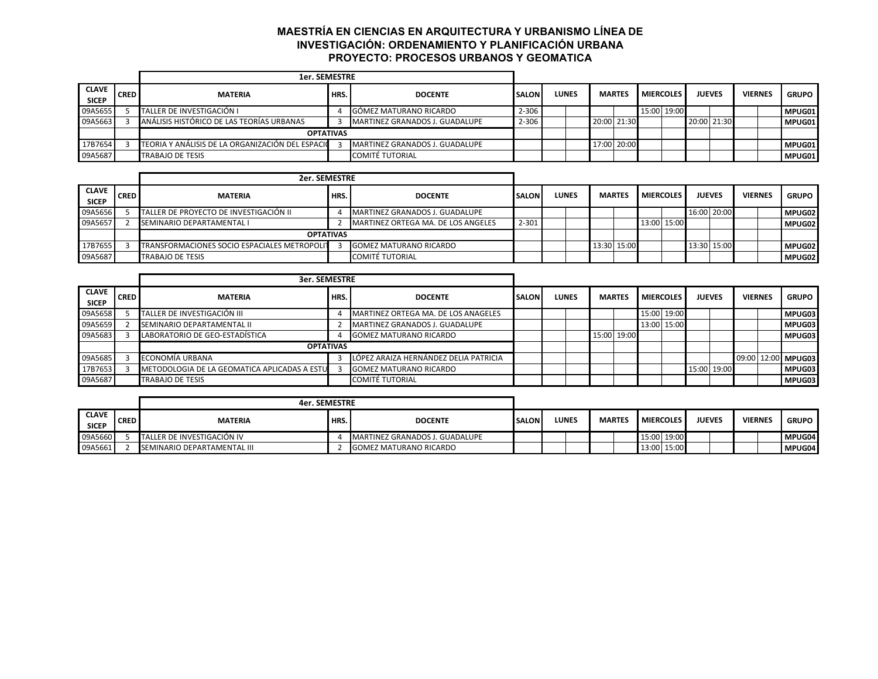# **MAESTRÍA EN CIENCIAS EN ARQUITECTURA Y URBANISMO LÍNEA DE INVESTIGACIÓN: ORDENAMIENTO Y PLANIFICACIÓN URBANA PROYECTO: PROCESOS URBANOS Y GEOMATICA**

|                              |             | <b>1er. SEMESTRE</b>                             |                  |                                |              |       |               |                  |  |               |                |              |
|------------------------------|-------------|--------------------------------------------------|------------------|--------------------------------|--------------|-------|---------------|------------------|--|---------------|----------------|--------------|
| <b>CLAVE</b><br><b>SICEP</b> | <b>CRED</b> | <b>MATERIA</b>                                   | HRS.             | <b>DOCENTE</b>                 | <b>SALON</b> | LUNES | <b>MARTES</b> | <b>MIERCOLES</b> |  | <b>JUEVES</b> | <b>VIERNES</b> | <b>GRUPO</b> |
| 09A5655                      |             | TALLER DE INVESTIGACIÓN I                        |                  | GÓMEZ MATURANO RICARDO         | 2-306        |       |               | 15:00 19:00      |  |               |                | MPUG01       |
| 09A5663                      |             | ANÁLISIS HISTÓRICO DE LAS TEORÍAS URBANAS        |                  | MARTINEZ GRANADOS J. GUADALUPE | 2-306        |       | 20:00 21:30   |                  |  | 20:00 21:30   |                | MPUG01       |
|                              |             |                                                  | <b>OPTATIVAS</b> |                                |              |       |               |                  |  |               |                |              |
| 17B7654                      |             | TEORIA Y ANÁLISIS DE LA ORGANIZACIÓN DEL ESPACIO |                  | MARTINEZ GRANADOS J. GUADALUPE |              |       | 17:00 20:00   |                  |  |               |                | MPUG01       |
| 09A5687                      |             | TRABAJO DE TESIS                                 |                  | COMITÉ TUTORIAL                |              |       |               |                  |  |               |                | MPUG01       |

|                              |             | 2er. SEMESTRE                                |      |                                    |              |              |             |               |                  |             |               |                |              |
|------------------------------|-------------|----------------------------------------------|------|------------------------------------|--------------|--------------|-------------|---------------|------------------|-------------|---------------|----------------|--------------|
| <b>CLAVE</b><br><b>SICEP</b> | <b>CRED</b> | <b>MATERIA</b>                               | HRS. | <b>DOCENTE</b>                     | <b>SALON</b> | <b>LUNES</b> |             | <b>MARTES</b> | <b>MIERCOLES</b> |             | <b>JUEVES</b> | <b>VIERNES</b> | <b>GRUPO</b> |
| 09A5656                      |             | TALLER DE PROYECTO DE INVESTIGACIÓN II       |      | MARTINEZ GRANADOS J. GUADALUPE     |              |              |             |               |                  | 16:00 20:00 |               |                | MPUG02       |
| 09A5657                      |             | SEMINARIO DEPARTAMENTAL I                    |      | MARTINEZ ORTEGA MA. DE LOS ANGELES | $2 - 301$    |              |             |               | 13:00 15:00      |             |               |                | MPUG02       |
|                              |             | <b>OPTATIVAS</b>                             |      |                                    |              |              |             |               |                  |             |               |                |              |
| 17B7655                      |             | TRANSFORMACIONES SOCIO ESPACIALES METROPOLIT |      | <b>GOMEZ MATURANO RICARDO</b>      |              |              | 13:30 15:00 |               |                  | 13:30 15:00 |               |                | MPUG02       |
| 09A5687                      |             | <b>TRABAJO DE TESIS</b>                      |      | <b>COMITÉ TUTORIAL</b>             |              |              |             |               |                  |             |               |                | MPUG02       |

|                              |             | <b>3er. SEMESTRE</b>                          |      |                                       |              |              |  |               |                  |             |               |                |                    |
|------------------------------|-------------|-----------------------------------------------|------|---------------------------------------|--------------|--------------|--|---------------|------------------|-------------|---------------|----------------|--------------------|
| <b>CLAVE</b><br><b>SICEP</b> | <b>CRED</b> | <b>MATERIA</b>                                | HRS. | <b>DOCENTE</b>                        | <b>SALON</b> | <b>LUNES</b> |  | <b>MARTES</b> | <b>MIERCOLES</b> |             | <b>JUEVES</b> | <b>VIERNES</b> | <b>GRUPO</b>       |
|                              |             |                                               |      |                                       |              |              |  |               |                  |             |               |                |                    |
| 09A5658                      |             | TALLER DE INVESTIGACIÓN III                   |      | MARTINEZ ORTEGA MA. DE LOS ANAGELES   |              |              |  |               | 15:00 19:00      |             |               |                | MPUG03             |
| 09A5659                      |             | SEMINARIO DEPARTAMENTAL II                    |      | MARTINEZ GRANADOS J. GUADALUPE        |              |              |  |               | 13:00 15:00      |             |               |                | MPUG03             |
| 09A5683                      |             | LABORATORIO DE GEO-ESTADÍSTICA                |      | <b>GOMEZ MATURANO RICARDO</b>         |              |              |  | 15:00 19:00   |                  |             |               |                | MPUG03             |
|                              |             | <b>OPTATIVAS</b>                              |      |                                       |              |              |  |               |                  |             |               |                |                    |
| 09A5685                      |             | ECONOMÍA URBANA                               |      | LÓPEZ ARAIZA HERNÁNDEZ DELIA PATRICIA |              |              |  |               |                  |             |               |                | 09:00 12:00 MPUG03 |
| 17B7653                      |             | METODOLOGIA DE LA GEOMATICA APLICADAS A ESTUL |      | <b>GOMEZ MATURANO RICARDO</b>         |              |              |  |               |                  | 15:00 19:00 |               |                | MPUG03             |
| 09A5687                      |             | <b>TRABAJO DE TESIS</b>                       |      | <b>COMITÉ TUTORIAL</b>                |              |              |  |               |                  |             |               |                | MPUG03             |

|                              |             | 4er. SEMESTRE               |      |                                |               |              |               |                  |               |                |              |
|------------------------------|-------------|-----------------------------|------|--------------------------------|---------------|--------------|---------------|------------------|---------------|----------------|--------------|
| <b>CLAVE</b><br><b>SICEP</b> | <b>CRED</b> | <b>MATERIA</b>              | HRS. | <b>DOCENTE</b>                 | <b>ISALON</b> | <b>LUNES</b> | <b>MARTES</b> | <b>MIERCOLES</b> | <b>JUEVES</b> | <b>VIERNES</b> | <b>GRUPO</b> |
| 09A5660                      |             | TALLER DE INVESTIGACIÓN IV  |      | MARTINEZ GRANADOS J. GUADALUPE |               |              |               | 15:00 19:00      |               |                | MPUG04       |
| 09A5661                      |             | SEMINARIO DEPARTAMENTAL III |      | <b>IGOMEZ MATURANO RICARDO</b> |               |              |               | 13:00 15:00      |               |                | MPUG04       |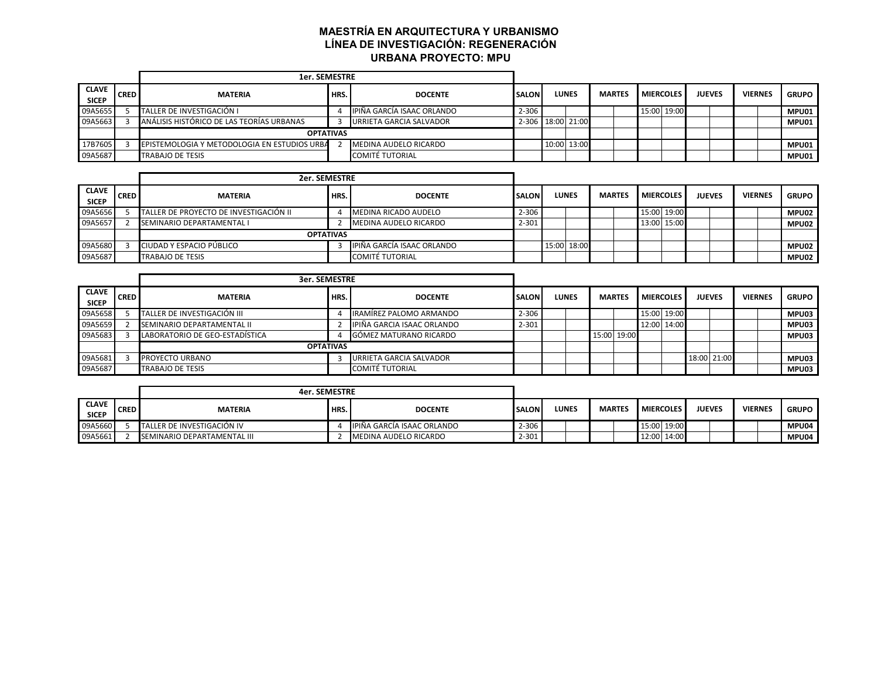# **MAESTRÍA EN ARQUITECTURA Y URBANISMO LÍNEA DE INVESTIGACIÓN: REGENERACIÓN URBANA PROYECTO: MPU**

|                              |             | <b>1er. SEMESTRE</b>                         |      |                            |               |                   |               |                  |               |                |              |
|------------------------------|-------------|----------------------------------------------|------|----------------------------|---------------|-------------------|---------------|------------------|---------------|----------------|--------------|
| <b>CLAVE</b><br><b>SICEP</b> | <b>CRED</b> | <b>MATERIA</b>                               | HRS. | <b>DOCENTE</b>             | <b>SALONI</b> | <b>LUNES</b>      | <b>MARTES</b> | <b>MIERCOLES</b> | <b>JUEVES</b> | <b>VIERNES</b> | <b>GRUPO</b> |
| 09A5655                      |             | TALLER DE INVESTIGACIÓN I                    |      | IPIÑA GARCÍA ISAAC ORLANDO | $2 - 306$     |                   |               | 15:00 19:00      |               |                | MPU01        |
| 09A5663                      |             | ANÁLISIS HISTÓRICO DE LAS TEORÍAS URBANAS    |      | URRIETA GARCIA SALVADOR    |               | 2-306 18:00 21:00 |               |                  |               |                | MPU01        |
|                              |             | <b>OPTATIVAS</b>                             |      |                            |               |                   |               |                  |               |                |              |
| 17B7605                      |             | EPISTEMOLOGIA Y METODOLOGIA EN ESTUDIOS URBA |      | MEDINA AUDELO RICARDO      |               | 10:00 13:00       |               |                  |               |                | MPU01        |
| 09A5687                      |             | <b>TRABAJO DE TESIS</b>                      |      | <b>COMITÉ TUTORIAL</b>     |               |                   |               |                  |               |                | MPU01        |

|                              |             | 2er. SEMESTRE                          |                  |                            |              |              |               |                  |               |                |              |
|------------------------------|-------------|----------------------------------------|------------------|----------------------------|--------------|--------------|---------------|------------------|---------------|----------------|--------------|
| <b>CLAVE</b><br><b>SICEP</b> | <b>CRED</b> | <b>MATERIA</b>                         | HRS.             | <b>DOCENTE</b>             | <b>SALON</b> | <b>LUNES</b> | <b>MARTES</b> | <b>MIERCOLES</b> | <b>JUEVES</b> | <b>VIERNES</b> | <b>GRUPO</b> |
| 09A5656                      |             | TALLER DE PROYECTO DE INVESTIGACIÓN II |                  | MEDINA RICADO AUDELO       | $2 - 306$    |              |               | 15:00 19:00      |               |                | MPU02        |
| 09A5657                      |             | SEMINARIO DEPARTAMENTAL I              |                  | MEDINA AUDELO RICARDO      | $2 - 301$    |              |               | 13:00 15:00      |               |                | MPU02        |
|                              |             |                                        | <b>OPTATIVAS</b> |                            |              |              |               |                  |               |                |              |
| 09A5680                      |             | CIUDAD Y ESPACIO PÚBLICO               |                  | IPIÑA GARCÍA ISAAC ORLANDO |              | 15:00 18:00  |               |                  |               |                | MPU02        |
| 09A5687                      |             | TRABAJO DE TESIS                       |                  | <b>COMITÉ TUTORIAL</b>     |              |              |               |                  |               |                | MPU02        |

|                              |             | <b>3er. SEMESTRE</b>           |                  |                                |              |       |               |                  |               |             |                |              |
|------------------------------|-------------|--------------------------------|------------------|--------------------------------|--------------|-------|---------------|------------------|---------------|-------------|----------------|--------------|
| <b>CLAVE</b><br><b>SICEP</b> | <b>CRED</b> | <b>MATERIA</b>                 | HRS.             | <b>DOCENTE</b>                 | <b>SALON</b> | LUNES | <b>MARTES</b> | <b>MIERCOLES</b> | <b>JUEVES</b> |             | <b>VIERNES</b> | <b>GRUPO</b> |
| 09A5658                      |             | TALLER DE INVESTIGACIÓN III    |                  | <b>IRAMÍREZ PALOMO ARMANDO</b> | $2 - 306$    |       |               | 15:00 19:00      |               |             |                | MPU03        |
| 09A5659                      |             | SEMINARIO DEPARTAMENTAL II     |                  | IPIÑA GARCIA ISAAC ORLANDO     | 2-301        |       |               | 12:00 14:00      |               |             |                | MPU03        |
| 09A5683                      |             | LABORATORIO DE GEO-ESTADÍSTICA |                  | GÓMEZ MATURANO RICARDO         |              |       | 15:00 19:00   |                  |               |             |                | MPU03        |
|                              |             |                                | <b>OPTATIVAS</b> |                                |              |       |               |                  |               |             |                |              |
| 09A5681                      |             | <b>PROYECTO URBANO</b>         |                  | URRIETA GARCIA SALVADOR        |              |       |               |                  |               | 18:00 21:00 |                | MPU03        |
| 09A5687                      |             | TRABAJO DE TESIS               |                  | <b>COMITÉ TUTORIAL</b>         |              |       |               |                  |               |             |                | MPU03        |

|                              |             | 4er. SEMESTRE               |      |                            |               |              |               |                  |               |                |              |
|------------------------------|-------------|-----------------------------|------|----------------------------|---------------|--------------|---------------|------------------|---------------|----------------|--------------|
| <b>CLAVE</b><br><b>SICEP</b> | <b>CRED</b> | <b>MATERIA</b>              | HRS. | <b>DOCENTE</b>             | <b>ISALON</b> | <b>LUNES</b> | <b>MARTES</b> | <b>MIERCOLES</b> | <b>JUEVES</b> | <b>VIERNES</b> | <b>GRUPO</b> |
| 09A5660                      |             | TALLER DE INVESTIGACIÓN IV  |      | IPIÑA GARCÍA ISAAC ORLANDO | $2 - 306$     |              |               | 15:00 19:00      |               |                | <b>MPU04</b> |
| 09A5661                      |             | SEMINARIO DEPARTAMENTAL III |      | MEDINA AUDELO RICARDO      | 2-301         |              |               | 12:00 14:00      |               |                | MPU04        |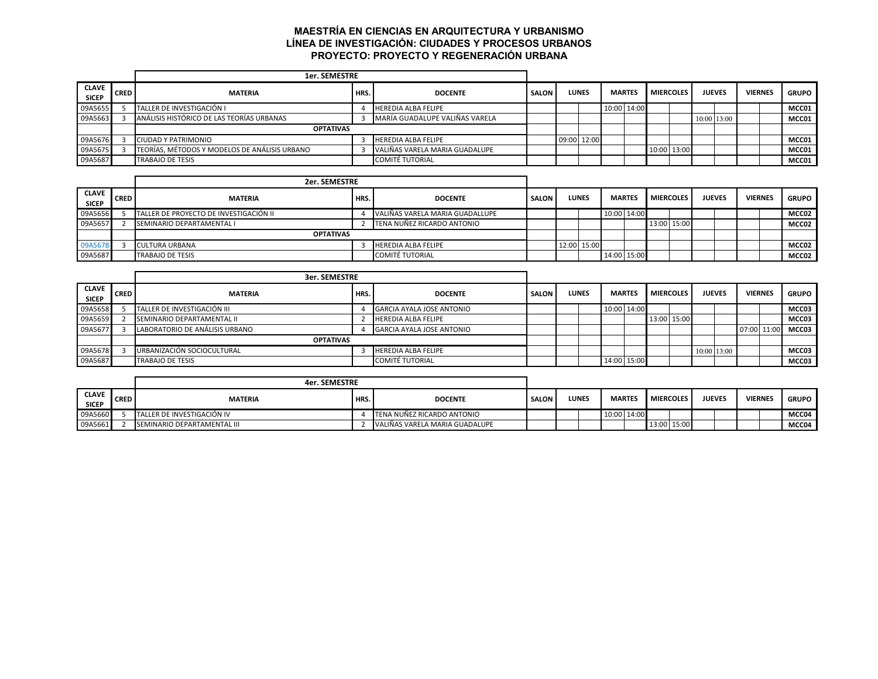# **MAESTRÍA EN CIENCIAS EN ARQUITECTURA Y URBANISMO LÍNEA DE INVESTIGACIÓN: CIUDADES Y PROCESOS URBANOS PROYECTO: PROYECTO Y REGENERACIÓN URBANA**

|                              |             | <b>1er. SEMESTRE</b>                          |      |                                |              |             |              |               |                  |               |                |              |
|------------------------------|-------------|-----------------------------------------------|------|--------------------------------|--------------|-------------|--------------|---------------|------------------|---------------|----------------|--------------|
| <b>CLAVE</b><br><b>SICEP</b> | <b>CRED</b> | <b>MATERIA</b>                                | HRS. | <b>DOCENTE</b>                 | <b>SALON</b> |             | <b>LUNES</b> | <b>MARTES</b> | <b>MIERCOLES</b> | <b>JUEVES</b> | <b>VIERNES</b> | <b>GRUPO</b> |
| 09A5655                      |             | TALLER DE INVESTIGACIÓN I                     |      | <b>HEREDIA ALBA FELIPE</b>     |              |             |              | 10:00 14:00   |                  |               |                | MCC01        |
| 09A5663                      |             | ANÁLISIS HISTÓRICO DE LAS TEORÍAS URBANAS     |      | MARÍA GUADALUPE VALIÑAS VARELA |              |             |              |               |                  | 10:00 13:00   |                | MCC01        |
|                              |             | <b>OPTATIVAS</b>                              |      |                                |              |             |              |               |                  |               |                |              |
| 09A5676                      |             | CIUDAD Y PATRIMONIO                           |      | <b>HEREDIA ALBA FELIPE</b>     |              | 09:00 12:00 |              |               |                  |               |                | MCC01        |
| 09A5675                      |             | TEORÍAS. MÉTODOS Y MODELOS DE ANÁLISIS URBANO |      | VALIÑAS VARELA MARIA GUADALUPE |              |             |              |               | 10:00 13:00      |               |                | MCC01        |
| 09A5687                      |             | <b>TRABAJO DE TESIS</b>                       |      | COMITÉ TUTORIAL                |              |             |              |               |                  |               |                | MCC01        |

|                              |             |                                        | 2er. SEMESTRE |                                 |              |  |              |  |               |                  |               |                |              |
|------------------------------|-------------|----------------------------------------|---------------|---------------------------------|--------------|--|--------------|--|---------------|------------------|---------------|----------------|--------------|
| <b>CLAVE</b><br><b>SICEP</b> | <b>CRED</b> | <b>MATERIA</b>                         | <b>HRS.</b>   | <b>DOCENTE</b>                  | <b>SALON</b> |  | <b>LUNES</b> |  | <b>MARTES</b> | <b>MIERCOLES</b> | <b>JUEVES</b> | <b>VIERNES</b> | <b>GRUPO</b> |
| 09A5656                      |             | TALLER DE PROYECTO DE INVESTIGACIÓN II |               | VALIÑAS VARELA MARIA GUADALLUPE |              |  |              |  | 10:00 14:00   |                  |               |                | MCC02        |
| 09A5657                      |             | SEMINARIO DEPARTAMENTAL I              |               | TENA NUÑEZ RICARDO ANTONIO      |              |  |              |  |               | 13:00 15:00      |               |                | MCC02        |
|                              |             | <b>OPTATIVAS</b>                       |               |                                 |              |  |              |  |               |                  |               |                |              |
| 09A5678                      |             | <b>CULTURA URBANA</b>                  |               | <b>HEREDIA ALBA FELIPE</b>      |              |  | 12:00 15:00  |  |               |                  |               |                | MCC02        |
| 09A5687                      |             | <b>TRABAJO DE TESIS</b>                |               | <b>COMITÉ TUTORIAL</b>          |              |  |              |  | 14:00 15:00   |                  |               |                | MCC02        |

|                              |             |                                | 3er. SEMESTRE |                                  |              |  |       |  |               |                  |             |               |                |              |
|------------------------------|-------------|--------------------------------|---------------|----------------------------------|--------------|--|-------|--|---------------|------------------|-------------|---------------|----------------|--------------|
| <b>CLAVE</b><br><b>SICEP</b> | <b>CRED</b> | <b>MATERIA</b>                 | <b>HRS.</b>   | <b>DOCENTE</b>                   | <b>SALON</b> |  | LUNES |  | <b>MARTES</b> | <b>MIERCOLES</b> |             | <b>JUEVES</b> | <b>VIERNES</b> | <b>GRUPO</b> |
| 09A5658                      |             | TALLER DE INVESTIGACIÓN III    |               | <b>GARCIA AYALA JOSE ANTONIO</b> |              |  |       |  | 10:00 14:00   |                  |             |               |                | MCC03        |
| 09A5659                      |             | SEMINARIO DEPARTAMENTAL II     |               | <b>HEREDIA ALBA FELIPE</b>       |              |  |       |  |               | 13:00 15:00      |             |               |                | MCC03        |
| 09A5677                      |             | LABORATORIO DE ANÁLISIS URBANO |               | <b>GARCIA AYALA JOSE ANTONIO</b> |              |  |       |  |               |                  |             |               | 07:00 11:00    | MCC03        |
|                              |             | <b>OPTATIVAS</b>               |               |                                  |              |  |       |  |               |                  |             |               |                |              |
| 09A5678                      |             | URBANIZACIÓN SOCIOCULTURAL     |               | <b>HEREDIA ALBA FELIPE</b>       |              |  |       |  |               |                  | 10:00 13:00 |               |                | MCC03        |
| 09A5687                      |             | <b>TRABAJO DE TESIS</b>        |               | <b>COMITÉ TUTORIAL</b>           |              |  |       |  | 14:00 15:00   |                  |             |               |                | MCC03        |

|                              |             | 4er. SEMESTRE               |      |                                |              |       |  |               |                  |               |                |              |
|------------------------------|-------------|-----------------------------|------|--------------------------------|--------------|-------|--|---------------|------------------|---------------|----------------|--------------|
| <b>CLAVE</b><br><b>SICEP</b> | <b>CRED</b> | <b>MATERIA</b>              | HRS. | <b>DOCENTE</b>                 | <b>SALON</b> | LUNES |  | <b>MARTES</b> | <b>MIERCOLES</b> | <b>JUEVES</b> | <b>VIERNES</b> | <b>GRUPO</b> |
| 09A5660                      |             | TALLER DE INVESTIGACIÓN IV  |      | TENA NUÑEZ RICARDO ANTONIO     |              |       |  | 10:00 14:00   |                  |               |                | MCC04        |
| 09A5661                      |             | SEMINARIO DEPARTAMENTAL III |      | VALIÑAS VARELA MARIA GUADALUPE |              |       |  |               | 13:00 15:00      |               |                | MCC04        |